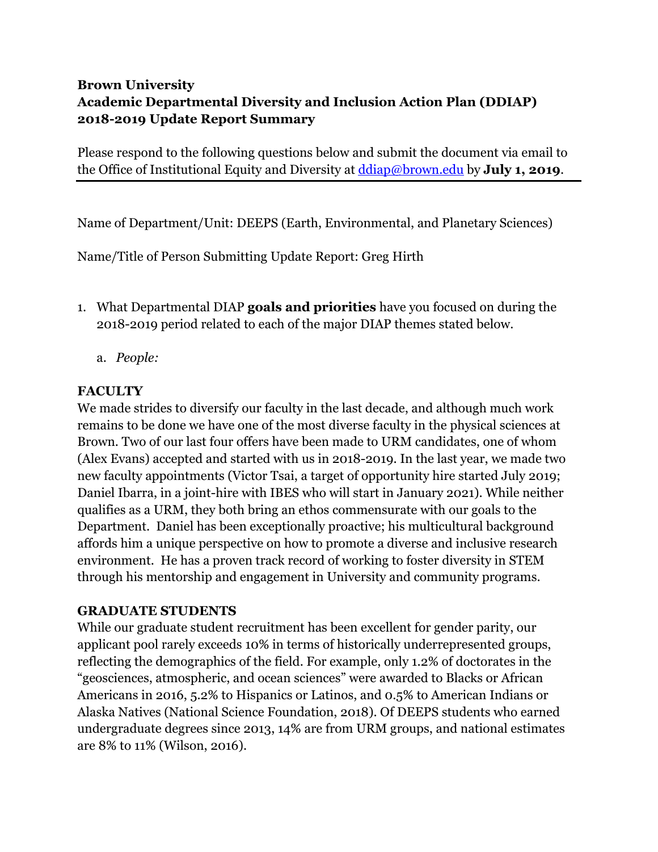## **Brown University Academic Departmental Diversity and Inclusion Action Plan (DDIAP) 2018-2019 Update Report Summary**

Please respond to the following questions below and submit the document via email to the Office of Institutional Equity and Diversity at ddiap@brown.edu by **July 1, 2019**.

Name of Department/Unit: DEEPS (Earth, Environmental, and Planetary Sciences)

Name/Title of Person Submitting Update Report: Greg Hirth

- 1. What Departmental DIAP **goals and priorities** have you focused on during the 2018-2019 period related to each of the major DIAP themes stated below.
	- a. *People:*

## **FACULTY**

We made strides to diversify our faculty in the last decade, and although much work remains to be done we have one of the most diverse faculty in the physical sciences at Brown. Two of our last four offers have been made to URM candidates, one of whom (Alex Evans) accepted and started with us in 2018-2019. In the last year, we made two new faculty appointments (Victor Tsai, a target of opportunity hire started July 2019; Daniel Ibarra, in a joint-hire with IBES who will start in January 2021). While neither qualifies as a URM, they both bring an ethos commensurate with our goals to the Department. Daniel has been exceptionally proactive; his multicultural background affords him a unique perspective on how to promote a diverse and inclusive research environment. He has a proven track record of working to foster diversity in STEM through his mentorship and engagement in University and community programs.

## **GRADUATE STUDENTS**

While our graduate student recruitment has been excellent for gender parity, our applicant pool rarely exceeds 10% in terms of historically underrepresented groups, reflecting the demographics of the field. For example, only 1.2% of doctorates in the "geosciences, atmospheric, and ocean sciences" were awarded to Blacks or African Americans in 2016, 5.2% to Hispanics or Latinos, and 0.5% to American Indians or Alaska Natives (National Science Foundation, 2018). Of DEEPS students who earned undergraduate degrees since 2013, 14% are from URM groups, and national estimates are 8% to 11% (Wilson, 2016).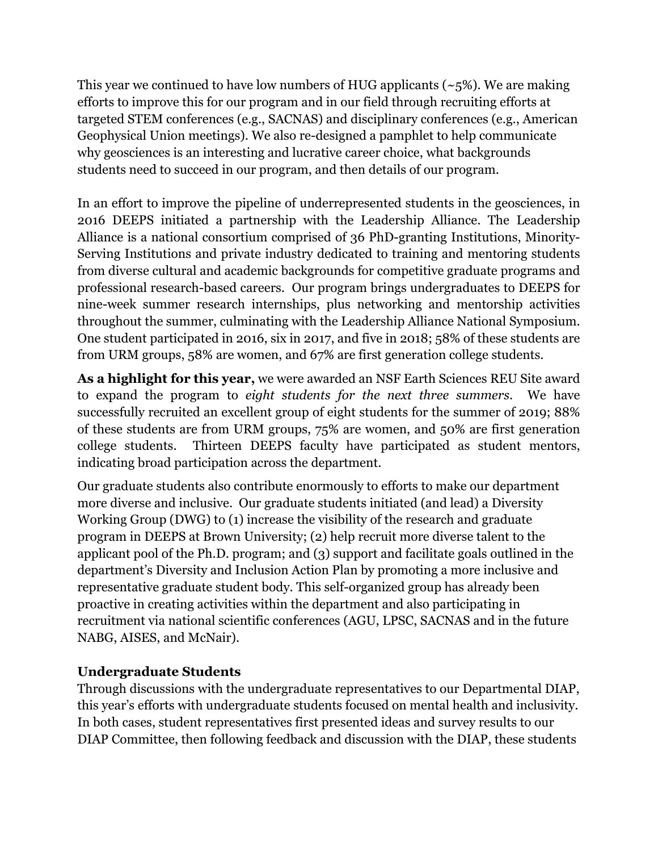This year we continued to have low numbers of HUG applicants ( $\sim$ 5%). We are making efforts to improve this for our program and in our field through recruiting efforts at targeted STEM conferences (e.g., SACNAS) and disciplinary conferences (e.g., American Geophysical Union meetings). We also re-designed a pamphlet to help communicate why geosciences is an interesting and lucrative career choice, what backgrounds students need to succeed in our program, and then details of our program.

In an effort to improve the pipeline of underrepresented students in the geosciences, in 2016 DEEPS initiated a partnership with the Leadership Alliance. The Leadership Alliance is a national consortium comprised of 36 PhD-granting Institutions, Minority-Serving Institutions and private industry dedicated to training and mentoring students from diverse cultural and academic backgrounds for competitive graduate programs and professional research-based careers. Our program brings undergraduates to DEEPS for nine-week summer research internships, plus networking and mentorship activities throughout the summer, culminating with the Leadership Alliance National Symposium. One student participated in 2016, six in 2017, and five in 2018; 58% of these students are from URM groups, 58% are women, and 67% are first generation college students.

**As a highlight for this year,** we were awarded an NSF Earth Sciences REU Site award to expand the program to *eight students for the next three summers*. We have successfully recruited an excellent group of eight students for the summer of 2019; 88% of these students are from URM groups, 75% are women, and 50% are first generation college students. Thirteen DEEPS faculty have participated as student mentors, indicating broad participation across the department.

Our graduate students also contribute enormously to efforts to make our department more diverse and inclusive. Our graduate students initiated (and lead) a Diversity Working Group (DWG) to (1) increase the visibility of the research and graduate program in DEEPS at Brown University; (2) help recruit more diverse talent to the applicant pool of the Ph.D. program; and (3) support and facilitate goals outlined in the department's Diversity and Inclusion Action Plan by promoting a more inclusive and representative graduate student body. This self-organized group has already been proactive in creating activities within the department and also participating in recruitment via national scientific conferences (AGU, LPSC, SACNAS and in the future NABG, AISES, and McNair).

## **Undergraduate Students**

Through discussions with the undergraduate representatives to our Departmental DIAP, this year's efforts with undergraduate students focused on mental health and inclusivity. In both cases, student representatives first presented ideas and survey results to our DIAP Committee, then following feedback and discussion with the DIAP, these students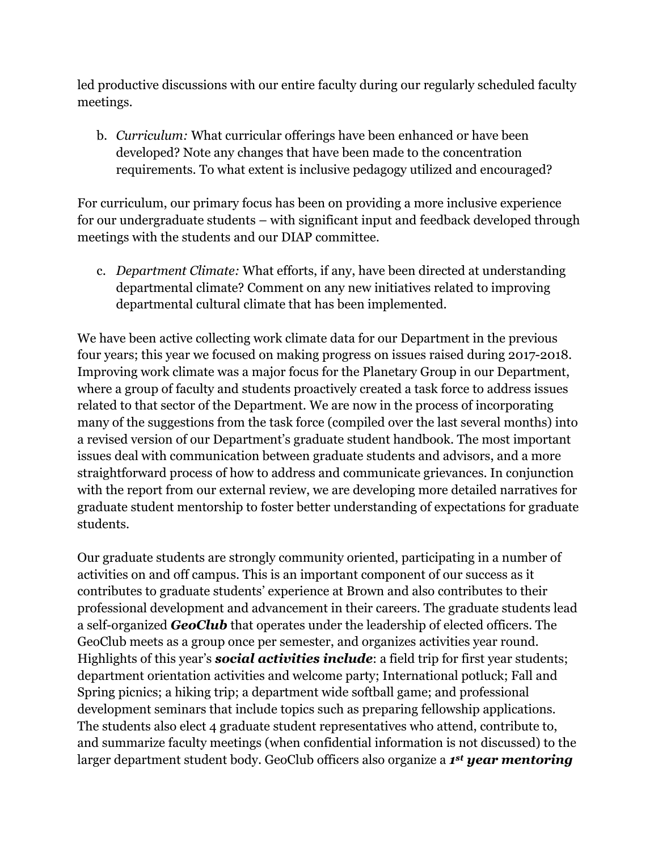led productive discussions with our entire faculty during our regularly scheduled faculty meetings.

b. *Curriculum:* What curricular offerings have been enhanced or have been developed? Note any changes that have been made to the concentration requirements. To what extent is inclusive pedagogy utilized and encouraged?

For curriculum, our primary focus has been on providing a more inclusive experience for our undergraduate students – with significant input and feedback developed through meetings with the students and our DIAP committee.

c. *Department Climate:* What efforts, if any, have been directed at understanding departmental climate? Comment on any new initiatives related to improving departmental cultural climate that has been implemented.

We have been active collecting work climate data for our Department in the previous four years; this year we focused on making progress on issues raised during 2017-2018. Improving work climate was a major focus for the Planetary Group in our Department, where a group of faculty and students proactively created a task force to address issues related to that sector of the Department. We are now in the process of incorporating many of the suggestions from the task force (compiled over the last several months) into a revised version of our Department's graduate student handbook. The most important issues deal with communication between graduate students and advisors, and a more straightforward process of how to address and communicate grievances. In conjunction with the report from our external review, we are developing more detailed narratives for graduate student mentorship to foster better understanding of expectations for graduate students.

Our graduate students are strongly community oriented, participating in a number of activities on and off campus. This is an important component of our success as it contributes to graduate students' experience at Brown and also contributes to their professional development and advancement in their careers. The graduate students lead a self-organized *GeoClub* that operates under the leadership of elected officers. The GeoClub meets as a group once per semester, and organizes activities year round. Highlights of this year's *social activities include*: a field trip for first year students; department orientation activities and welcome party; International potluck; Fall and Spring picnics; a hiking trip; a department wide softball game; and professional development seminars that include topics such as preparing fellowship applications. The students also elect 4 graduate student representatives who attend, contribute to, and summarize faculty meetings (when confidential information is not discussed) to the larger department student body. GeoClub officers also organize a *1st year mentoring*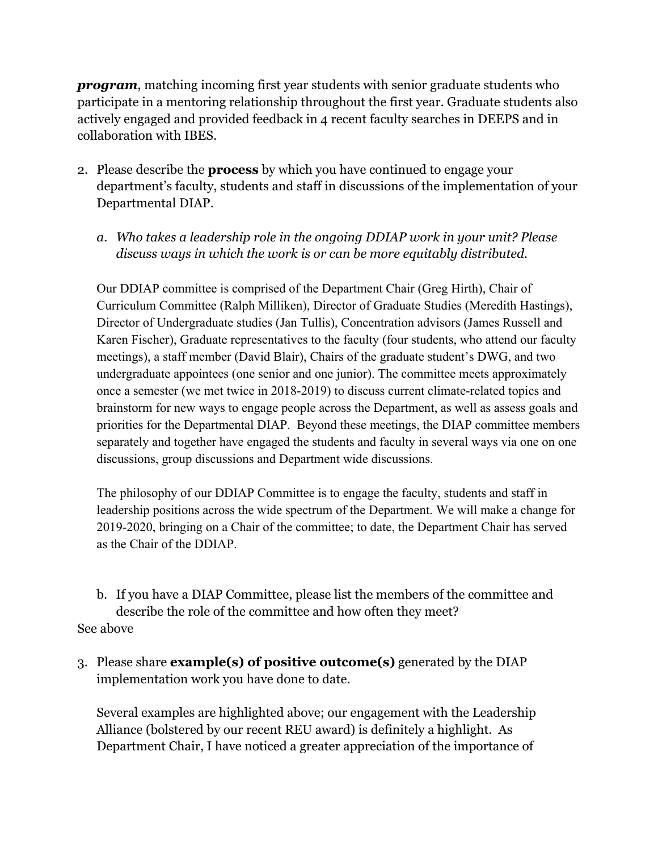*program*, matching incoming first year students with senior graduate students who participate in a mentoring relationship throughout the first year. Graduate students also actively engaged and provided feedback in 4 recent faculty searches in DEEPS and in collaboration with IBES.

- 2. Please describe the **process** by which you have continued to engage your department's faculty, students and staff in discussions of the implementation of your Departmental DIAP.
	- *a. Who takes a leadership role in the ongoing DDIAP work in your unit? Please discuss ways in which the work is or can be more equitably distributed.*

Our DDIAP committee is comprised of the Department Chair (Greg Hirth), Chair of Curriculum Committee (Ralph Milliken), Director of Graduate Studies (Meredith Hastings), Director of Undergraduate studies (Jan Tullis), Concentration advisors (James Russell and Karen Fischer), Graduate representatives to the faculty (four students, who attend our faculty meetings), a staff member (David Blair), Chairs of the graduate student's DWG, and two undergraduate appointees (one senior and one junior). The committee meets approximately once a semester (we met twice in 2018-2019) to discuss current climate-related topics and brainstorm for new ways to engage people across the Department, as well as assess goals and priorities for the Departmental DIAP. Beyond these meetings, the DIAP committee members separately and together have engaged the students and faculty in several ways via one on one discussions, group discussions and Department wide discussions.

The philosophy of our DDIAP Committee is to engage the faculty, students and staff in leadership positions across the wide spectrum of the Department. We will make a change for 2019-2020, bringing on a Chair of the committee; to date, the Department Chair has served as the Chair of the DDIAP.

b. If you have a DIAP Committee, please list the members of the committee and describe the role of the committee and how often they meet? See above

3. Please share **example(s) of positive outcome(s)** generated by the DIAP implementation work you have done to date.

Several examples are highlighted above; our engagement with the Leadership Alliance (bolstered by our recent REU award) is definitely a highlight. As Department Chair, I have noticed a greater appreciation of the importance of